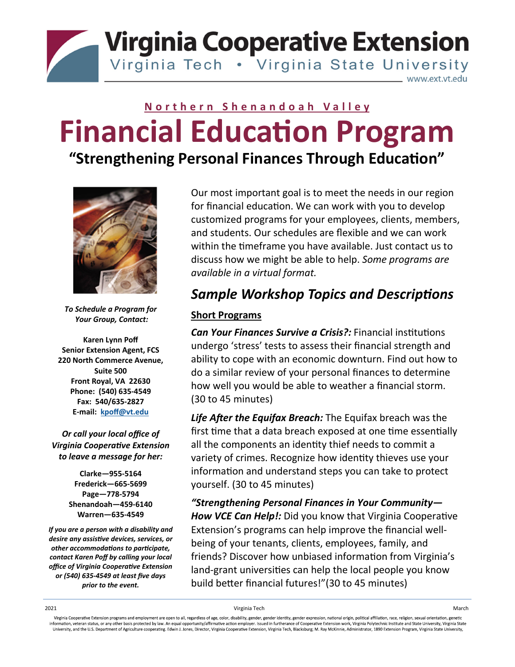**Virginia Cooperative Extension** Virginia Tech . Virginia State University

www.ext.vt.edu

# **Northern Shenandoah Valley Financial Education Program**

**"Strengthening Personal Finances Through EducaƟon"**



*To Schedule a Program for Your Group, Contact:* 

**Karen Lynn Poff Senior Extension Agent, FCS 220 North Commerce Avenue, Suite 500 Front Royal, VA 22630 Phone: (540) 635‐4549 Fax: 540/635‐2827 E‐mail: kpoff@vt.edu**

*Or call your local office of Virginia CooperaƟve Extension to leave a message for her:* 

> **Clarke—955‐5164 Frederick—665‐5699 Page—778‐5794 Shenandoah—459‐6140 Warren—635‐4549**

*If you are a person with a disability and desire any assisƟve devices, services, or other accommodaƟons to parƟcipate, contact Karen Poff by calling your local office of Virginia CooperaƟve Extension or (540) 635‐4549 at least five days prior to the event.*

Our most important goal is to meet the needs in our region for financial education. We can work with you to develop customized programs for your employees, clients, members, and students. Our schedules are flexible and we can work within the timeframe you have available. Just contact us to discuss how we might be able to help. *Some programs are available in a virtual format.*

## **Sample Workshop Topics and Descriptions**

#### **Short Programs**

*Can Your Finances Survive a Crisis?:* Financial institutions undergo 'stress' tests to assess their financial strength and ability to cope with an economic downturn. Find out how to do a similar review of your personal finances to determine how well you would be able to weather a financial storm. (30 to 45 minutes)

*Life After the Equifax Breach:* The Equifax breach was the first time that a data breach exposed at one time essentially all the components an identity thief needs to commit a variety of crimes. Recognize how identity thieves use your information and understand steps you can take to protect yourself. (30 to 45 minutes)

*"Strengthening Personal Finances in Your Community—* **How VCE Can Help!:** Did you know that Virginia Cooperative Extension's programs can help improve the financial well‐ being of your tenants, clients, employees, family, and friends? Discover how unbiased information from Virginia's land-grant universities can help the local people you know build better financial futures!"(30 to 45 minutes)

2021 Virginia Tech March